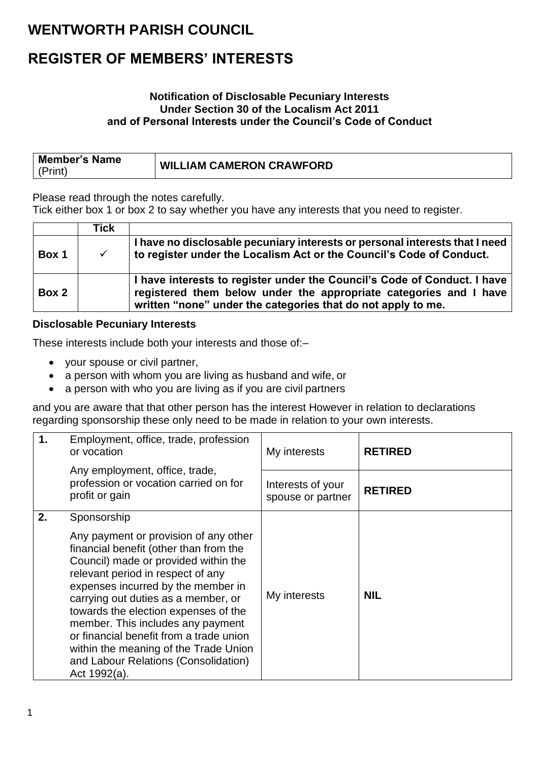### **WENTWORTH PARISH COUNCIL**

### **REGISTER OF MEMBERS' INTERESTS**

#### **Notification of Disclosable Pecuniary Interests Under Section 30 of the Localism Act 2011 and of Personal Interests under the Council's Code of Conduct**

| <b>Member's Name</b> |                                 |
|----------------------|---------------------------------|
| (Print)              | <b>WILLIAM CAMERON CRAWFORD</b> |

Please read through the notes carefully.

Tick either box 1 or box 2 to say whether you have any interests that you need to register.

|       | Tick         |                                                                                                                                                                                                               |
|-------|--------------|---------------------------------------------------------------------------------------------------------------------------------------------------------------------------------------------------------------|
| Box 1 | $\checkmark$ | I have no disclosable pecuniary interests or personal interests that I need<br>to register under the Localism Act or the Council's Code of Conduct.                                                           |
| Box 2 |              | I have interests to register under the Council's Code of Conduct. I have<br>registered them below under the appropriate categories and I have<br>written "none" under the categories that do not apply to me. |

### **Disclosable Pecuniary Interests**

These interests include both your interests and those of:–

- your spouse or civil partner,
- a person with whom you are living as husband and wife, or
- a person with who you are living as if you are civil partners

and you are aware that that other person has the interest However in relation to declarations regarding sponsorship these only need to be made in relation to your own interests.

| $\mathbf 1$ . | Employment, office, trade, profession<br>or vocation                                                                                                                                                                                                                                                                                                                                                                                                                              | My interests                           | <b>RETIRED</b> |
|---------------|-----------------------------------------------------------------------------------------------------------------------------------------------------------------------------------------------------------------------------------------------------------------------------------------------------------------------------------------------------------------------------------------------------------------------------------------------------------------------------------|----------------------------------------|----------------|
|               | Any employment, office, trade,<br>profession or vocation carried on for<br>profit or gain                                                                                                                                                                                                                                                                                                                                                                                         | Interests of your<br>spouse or partner | <b>RETIRED</b> |
| 2.            | Sponsorship<br>Any payment or provision of any other<br>financial benefit (other than from the<br>Council) made or provided within the<br>relevant period in respect of any<br>expenses incurred by the member in<br>carrying out duties as a member, or<br>towards the election expenses of the<br>member. This includes any payment<br>or financial benefit from a trade union<br>within the meaning of the Trade Union<br>and Labour Relations (Consolidation)<br>Act 1992(a). | My interests                           | <b>NIL</b>     |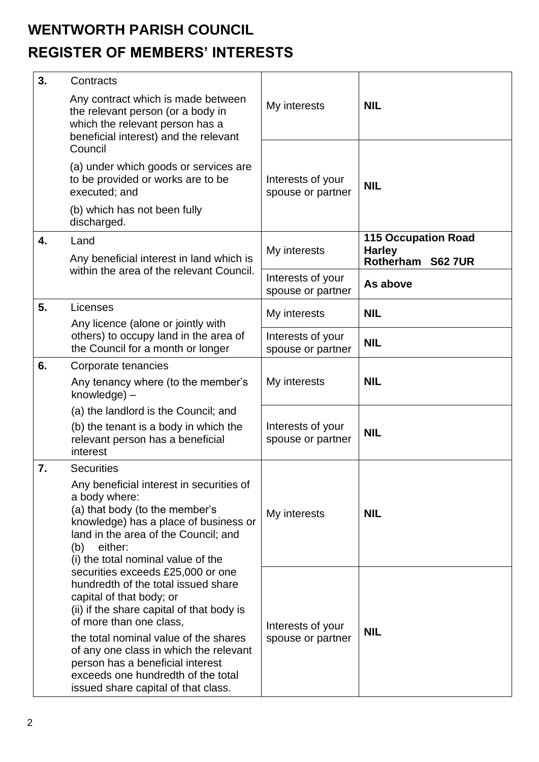# **WENTWORTH PARISH COUNCIL REGISTER OF MEMBERS' INTERESTS**

| 3. | Contracts                                                                                                                                                                                                                                                                                                                                   |                                        |                                                                            |
|----|---------------------------------------------------------------------------------------------------------------------------------------------------------------------------------------------------------------------------------------------------------------------------------------------------------------------------------------------|----------------------------------------|----------------------------------------------------------------------------|
|    | Any contract which is made between<br>the relevant person (or a body in<br>which the relevant person has a<br>beneficial interest) and the relevant                                                                                                                                                                                         | My interests                           | <b>NIL</b>                                                                 |
|    | Council<br>(a) under which goods or services are                                                                                                                                                                                                                                                                                            |                                        |                                                                            |
|    | to be provided or works are to be<br>executed; and                                                                                                                                                                                                                                                                                          | Interests of your<br>spouse or partner | <b>NIL</b>                                                                 |
|    | (b) which has not been fully<br>discharged.                                                                                                                                                                                                                                                                                                 |                                        |                                                                            |
| 4. | Land<br>Any beneficial interest in land which is                                                                                                                                                                                                                                                                                            | My interests                           | <b>115 Occupation Road</b><br><b>Harley</b><br>Rotherham<br><b>S62 7UR</b> |
|    | within the area of the relevant Council.                                                                                                                                                                                                                                                                                                    | Interests of your<br>spouse or partner | As above                                                                   |
| 5. | Licenses<br>Any licence (alone or jointly with<br>others) to occupy land in the area of<br>the Council for a month or longer                                                                                                                                                                                                                | My interests                           | <b>NIL</b>                                                                 |
|    |                                                                                                                                                                                                                                                                                                                                             | Interests of your<br>spouse or partner | <b>NIL</b>                                                                 |
| 6. | Corporate tenancies                                                                                                                                                                                                                                                                                                                         | My interests                           |                                                                            |
|    | Any tenancy where (to the member's<br>knowledge) -                                                                                                                                                                                                                                                                                          |                                        | <b>NIL</b>                                                                 |
|    | (a) the landlord is the Council; and                                                                                                                                                                                                                                                                                                        |                                        |                                                                            |
|    | (b) the tenant is a body in which the<br>relevant person has a beneficial<br>interest                                                                                                                                                                                                                                                       | Interests of your<br>spouse or partner | <b>NIL</b>                                                                 |
| 7. | <b>Securities</b>                                                                                                                                                                                                                                                                                                                           |                                        |                                                                            |
|    | Any beneficial interest in securities of<br>a body where:<br>(a) that body (to the member's<br>knowledge) has a place of business or<br>land in the area of the Council; and<br>either:<br>(b)<br>(i) the total nominal value of the<br>securities exceeds £25,000 or one                                                                   | My interests                           | <b>NIL</b>                                                                 |
|    | hundredth of the total issued share<br>capital of that body; or<br>(ii) if the share capital of that body is<br>of more than one class,<br>the total nominal value of the shares<br>of any one class in which the relevant<br>person has a beneficial interest<br>exceeds one hundredth of the total<br>issued share capital of that class. | Interests of your<br>spouse or partner | <b>NIL</b>                                                                 |